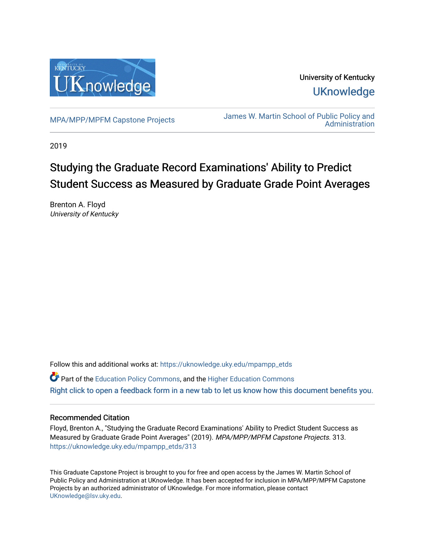

University of Kentucky **UKnowledge** 

[MPA/MPP/MPFM Capstone Projects](https://uknowledge.uky.edu/mpampp_etds) James W. Martin School of Public Policy and [Administration](https://uknowledge.uky.edu/msppa) 

2019

# Studying the Graduate Record Examinations' Ability to Predict Student Success as Measured by Graduate Grade Point Averages

Brenton A. Floyd University of Kentucky

Follow this and additional works at: [https://uknowledge.uky.edu/mpampp\\_etds](https://uknowledge.uky.edu/mpampp_etds?utm_source=uknowledge.uky.edu%2Fmpampp_etds%2F313&utm_medium=PDF&utm_campaign=PDFCoverPages)

Part of the [Education Policy Commons](http://network.bepress.com/hgg/discipline/1026?utm_source=uknowledge.uky.edu%2Fmpampp_etds%2F313&utm_medium=PDF&utm_campaign=PDFCoverPages), and the [Higher Education Commons](http://network.bepress.com/hgg/discipline/1245?utm_source=uknowledge.uky.edu%2Fmpampp_etds%2F313&utm_medium=PDF&utm_campaign=PDFCoverPages) [Right click to open a feedback form in a new tab to let us know how this document benefits you.](https://uky.az1.qualtrics.com/jfe/form/SV_9mq8fx2GnONRfz7)

# Recommended Citation

Floyd, Brenton A., "Studying the Graduate Record Examinations' Ability to Predict Student Success as Measured by Graduate Grade Point Averages" (2019). MPA/MPP/MPFM Capstone Projects. 313. [https://uknowledge.uky.edu/mpampp\\_etds/313](https://uknowledge.uky.edu/mpampp_etds/313?utm_source=uknowledge.uky.edu%2Fmpampp_etds%2F313&utm_medium=PDF&utm_campaign=PDFCoverPages)

This Graduate Capstone Project is brought to you for free and open access by the James W. Martin School of Public Policy and Administration at UKnowledge. It has been accepted for inclusion in MPA/MPP/MPFM Capstone Projects by an authorized administrator of UKnowledge. For more information, please contact [UKnowledge@lsv.uky.edu.](mailto:UKnowledge@lsv.uky.edu)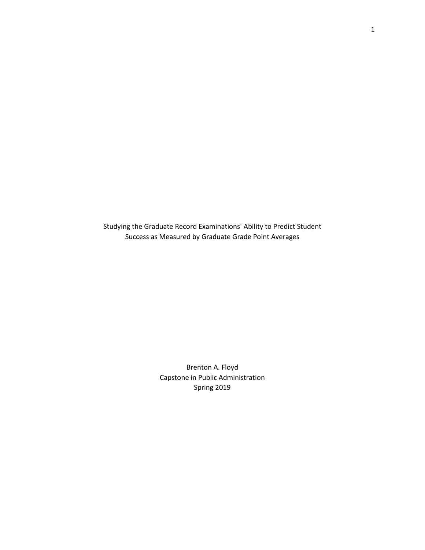Studying the Graduate Record Examinations' Ability to Predict Student Success as Measured by Graduate Grade Point Averages

> Brenton A. Floyd Capstone in Public Administration Spring 2019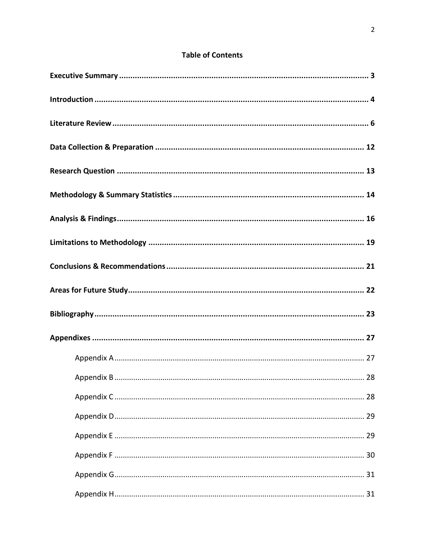# **Table of Contents**

| 29 |
|----|
|    |
|    |
|    |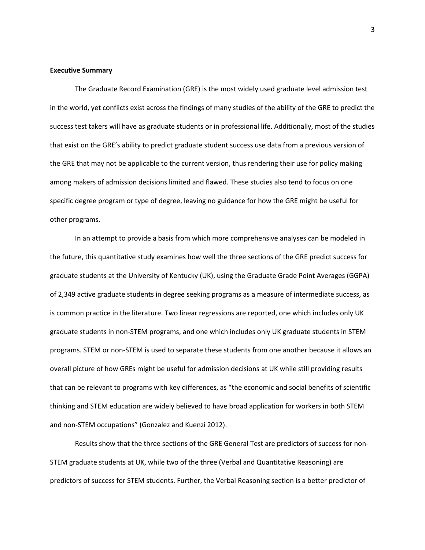#### **Executive Summary**

The Graduate Record Examination (GRE) is the most widely used graduate level admission test in the world, yet conflicts exist across the findings of many studies of the ability of the GRE to predict the success test takers will have as graduate students or in professional life. Additionally, most of the studies that exist on the GRE's ability to predict graduate student success use data from a previous version of the GRE that may not be applicable to the current version, thus rendering their use for policy making among makers of admission decisions limited and flawed. These studies also tend to focus on one specific degree program or type of degree, leaving no guidance for how the GRE might be useful for other programs.

In an attempt to provide a basis from which more comprehensive analyses can be modeled in the future, this quantitative study examines how well the three sections of the GRE predict success for graduate students at the University of Kentucky (UK), using the Graduate Grade Point Averages (GGPA) of 2,349 active graduate students in degree seeking programs as a measure of intermediate success, as is common practice in the literature. Two linear regressions are reported, one which includes only UK graduate students in non-STEM programs, and one which includes only UK graduate students in STEM programs. STEM or non-STEM is used to separate these students from one another because it allows an overall picture of how GREs might be useful for admission decisions at UK while still providing results that can be relevant to programs with key differences, as "the economic and social benefits of scientific thinking and STEM education are widely believed to have broad application for workers in both STEM and non-STEM occupations" (Gonzalez and Kuenzi 2012).

Results show that the three sections of the GRE General Test are predictors of success for non-STEM graduate students at UK, while two of the three (Verbal and Quantitative Reasoning) are predictors of success for STEM students. Further, the Verbal Reasoning section is a better predictor of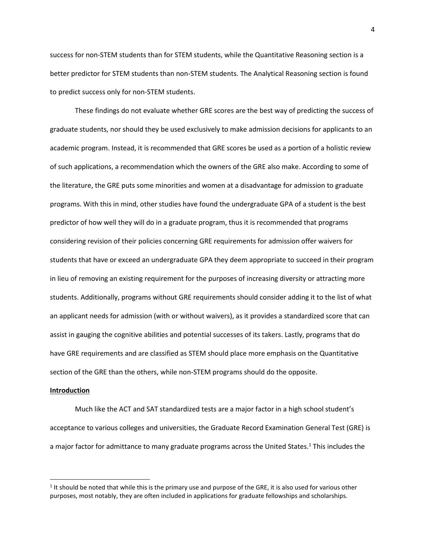success for non-STEM students than for STEM students, while the Quantitative Reasoning section is a better predictor for STEM students than non-STEM students. The Analytical Reasoning section is found to predict success only for non-STEM students.

These findings do not evaluate whether GRE scores are the best way of predicting the success of graduate students, nor should they be used exclusively to make admission decisions for applicants to an academic program. Instead, it is recommended that GRE scores be used as a portion of a holistic review of such applications, a recommendation which the owners of the GRE also make. According to some of the literature, the GRE puts some minorities and women at a disadvantage for admission to graduate programs. With this in mind, other studies have found the undergraduate GPA of a student is the best predictor of how well they will do in a graduate program, thus it is recommended that programs considering revision of their policies concerning GRE requirements for admission offer waivers for students that have or exceed an undergraduate GPA they deem appropriate to succeed in their program in lieu of removing an existing requirement for the purposes of increasing diversity or attracting more students. Additionally, programs without GRE requirements should consider adding it to the list of what an applicant needs for admission (with or without waivers), as it provides a standardized score that can assist in gauging the cognitive abilities and potential successes of its takers. Lastly, programs that do have GRE requirements and are classified as STEM should place more emphasis on the Quantitative section of the GRE than the others, while non-STEM programs should do the opposite.

#### **Introduction**

 $\overline{\phantom{a}}$ 

Much like the ACT and SAT standardized tests are a major factor in a high school student's acceptance to various colleges and universities, the Graduate Record Examination General Test (GRE) is a major factor for admittance to many graduate programs across the United States.<sup>1</sup> This includes the

 $1$  It should be noted that while this is the primary use and purpose of the GRE, it is also used for various other purposes, most notably, they are often included in applications for graduate fellowships and scholarships.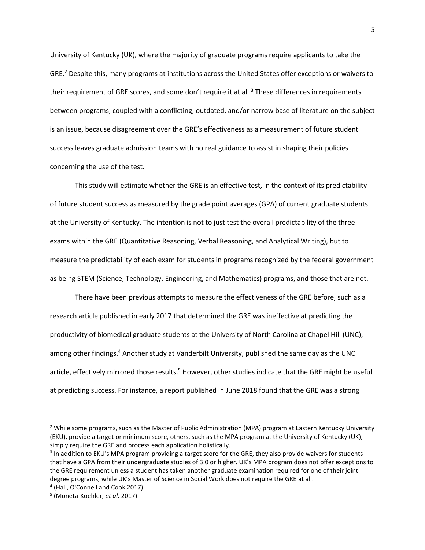University of Kentucky (UK), where the majority of graduate programs require applicants to take the GRE.<sup>2</sup> Despite this, many programs at institutions across the United States offer exceptions or waivers to their requirement of GRE scores, and some don't require it at all.<sup>3</sup> These differences in requirements between programs, coupled with a conflicting, outdated, and/or narrow base of literature on the subject is an issue, because disagreement over the GRE's effectiveness as a measurement of future student success leaves graduate admission teams with no real guidance to assist in shaping their policies concerning the use of the test.

This study will estimate whether the GRE is an effective test, in the context of its predictability of future student success as measured by the grade point averages (GPA) of current graduate students at the University of Kentucky. The intention is not to just test the overall predictability of the three exams within the GRE (Quantitative Reasoning, Verbal Reasoning, and Analytical Writing), but to measure the predictability of each exam for students in programs recognized by the federal government as being STEM (Science, Technology, Engineering, and Mathematics) programs, and those that are not.

There have been previous attempts to measure the effectiveness of the GRE before, such as a research article published in early 2017 that determined the GRE was ineffective at predicting the productivity of biomedical graduate students at the University of North Carolina at Chapel Hill (UNC), among other findings.<sup>4</sup> Another study at Vanderbilt University, published the same day as the UNC article, effectively mirrored those results.<sup>5</sup> However, other studies indicate that the GRE might be useful at predicting success. For instance, a report published in June 2018 found that the GRE was a strong

<sup>&</sup>lt;sup>2</sup> While some programs, such as the Master of Public Administration (MPA) program at Eastern Kentucky University (EKU), provide a target or minimum score, others, such as the MPA program at the University of Kentucky (UK), simply require the GRE and process each application holistically.

<sup>&</sup>lt;sup>3</sup> In addition to EKU's MPA program providing a target score for the GRE, they also provide waivers for students that have a GPA from their undergraduate studies of 3.0 or higher. UK's MPA program does not offer exceptions to the GRE requirement unless a student has taken another graduate examination required for one of their joint degree programs, while UK's Master of Science in Social Work does not require the GRE at all.

<sup>4</sup> (Hall, O'Connell and Cook 2017)

<sup>5</sup> (Moneta-Koehler, *et al.* 2017)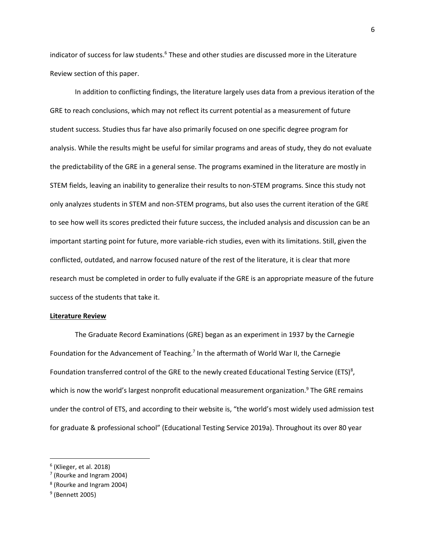indicator of success for law students.<sup>6</sup> These and other studies are discussed more in the Literature Review section of this paper.

In addition to conflicting findings, the literature largely uses data from a previous iteration of the GRE to reach conclusions, which may not reflect its current potential as a measurement of future student success. Studies thus far have also primarily focused on one specific degree program for analysis. While the results might be useful for similar programs and areas of study, they do not evaluate the predictability of the GRE in a general sense. The programs examined in the literature are mostly in STEM fields, leaving an inability to generalize their results to non-STEM programs. Since this study not only analyzes students in STEM and non-STEM programs, but also uses the current iteration of the GRE to see how well its scores predicted their future success, the included analysis and discussion can be an important starting point for future, more variable-rich studies, even with its limitations. Still, given the conflicted, outdated, and narrow focused nature of the rest of the literature, it is clear that more research must be completed in order to fully evaluate if the GRE is an appropriate measure of the future success of the students that take it.

#### **Literature Review**

The Graduate Record Examinations (GRE) began as an experiment in 1937 by the Carnegie Foundation for the Advancement of Teaching.<sup>7</sup> In the aftermath of World War II, the Carnegie Foundation transferred control of the GRE to the newly created Educational Testing Service (ETS)<sup>8</sup>, which is now the world's largest nonprofit educational measurement organization.<sup>9</sup> The GRE remains under the control of ETS, and according to their website is, "the world's most widely used admission test for graduate & professional school" (Educational Testing Service 2019a). Throughout its over 80 year

<sup>6</sup> (Klieger, et al. 2018)

 $<sup>7</sup>$  (Rourke and Ingram 2004)</sup>

<sup>8</sup> (Rourke and Ingram 2004)

<sup>&</sup>lt;sup>9</sup> (Bennett 2005)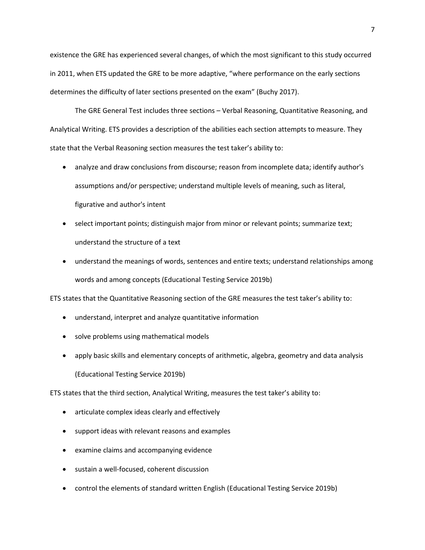existence the GRE has experienced several changes, of which the most significant to this study occurred in 2011, when ETS updated the GRE to be more adaptive, "where performance on the early sections determines the difficulty of later sections presented on the exam" (Buchy 2017).

The GRE General Test includes three sections – Verbal Reasoning, Quantitative Reasoning, and Analytical Writing. ETS provides a description of the abilities each section attempts to measure. They state that the Verbal Reasoning section measures the test taker's ability to:

- analyze and draw conclusions from discourse; reason from incomplete data; identify author's assumptions and/or perspective; understand multiple levels of meaning, such as literal, figurative and author's intent
- select important points; distinguish major from minor or relevant points; summarize text; understand the structure of a text
- understand the meanings of words, sentences and entire texts; understand relationships among words and among concepts (Educational Testing Service 2019b)

ETS states that the Quantitative Reasoning section of the GRE measures the test taker's ability to:

- understand, interpret and analyze quantitative information
- solve problems using mathematical models
- apply basic skills and elementary concepts of arithmetic, algebra, geometry and data analysis (Educational Testing Service 2019b)

ETS states that the third section, Analytical Writing, measures the test taker's ability to:

- articulate complex ideas clearly and effectively
- support ideas with relevant reasons and examples
- examine claims and accompanying evidence
- sustain a well-focused, coherent discussion
- control the elements of standard written English (Educational Testing Service 2019b)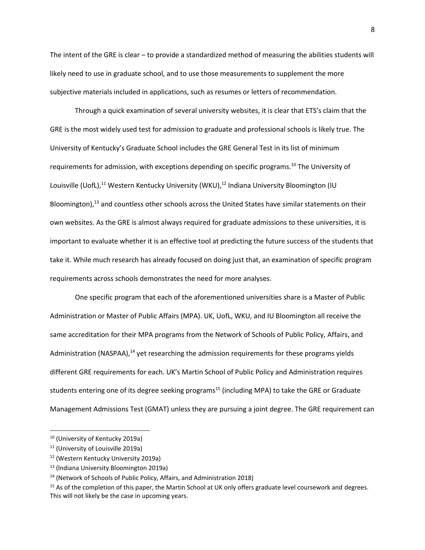The intent of the GRE is clear – to provide a standardized method of measuring the abilities students will likely need to use in graduate school, and to use those measurements to supplement the more subjective materials included in applications, such as resumes or letters of recommendation.

Through a quick examination of several university websites, it is clear that ETS's claim that the GRE is the most widely used test for admission to graduate and professional schools is likely true. The University of Kentucky's Graduate School includes the GRE General Test in its list of minimum requirements for admission, with exceptions depending on specific programs.<sup>10</sup> The University of Louisville (UofL),<sup>11</sup> Western Kentucky University (WKU),<sup>12</sup> Indiana University Bloomington (IU Bloomington),<sup>13</sup> and countless other schools across the United States have similar statements on their own websites. As the GRE is almost always required for graduate admissions to these universities, it is important to evaluate whether it is an effective tool at predicting the future success of the students that take it. While much research has already focused on doing just that, an examination of specific program requirements across schools demonstrates the need for more analyses.

One specific program that each of the aforementioned universities share is a Master of Public Administration or Master of Public Affairs (MPA). UK, UofL, WKU, and IU Bloomington all receive the same accreditation for their MPA programs from the Network of Schools of Public Policy, Affairs, and Administration (NASPAA), $^{14}$  yet researching the admission requirements for these programs yields different GRE requirements for each. UK's Martin School of Public Policy and Administration requires students entering one of its degree seeking programs<sup>15</sup> (including MPA) to take the GRE or Graduate Management Admissions Test (GMAT) unless they are pursuing a joint degree. The GRE requirement can

<sup>&</sup>lt;sup>10</sup> (University of Kentucky 2019a)

<sup>11</sup> (University of Louisville 2019a)

<sup>12</sup> (Western Kentucky University 2019a)

<sup>13</sup> (Indiana University Bloomington 2019a)

<sup>&</sup>lt;sup>14</sup> (Network of Schools of Public Policy, Affairs, and Administration 2018)

<sup>&</sup>lt;sup>15</sup> As of the completion of this paper, the Martin School at UK only offers graduate level coursework and degrees. This will not likely be the case in upcoming years.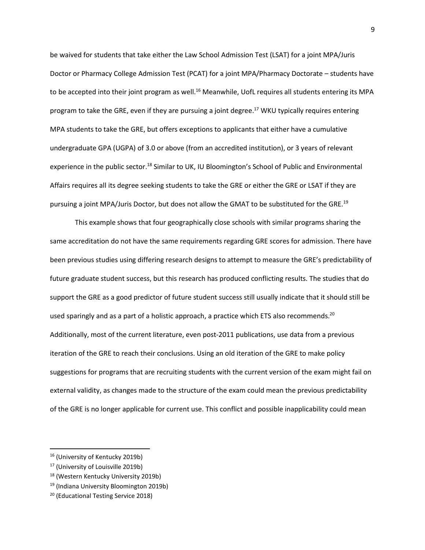be waived for students that take either the Law School Admission Test (LSAT) for a joint MPA/Juris Doctor or Pharmacy College Admission Test (PCAT) for a joint MPA/Pharmacy Doctorate – students have to be accepted into their joint program as well.<sup>16</sup> Meanwhile, UofL requires all students entering its MPA program to take the GRE, even if they are pursuing a joint degree. <sup>17</sup> WKU typically requires entering MPA students to take the GRE, but offers exceptions to applicants that either have a cumulative undergraduate GPA (UGPA) of 3.0 or above (from an accredited institution), or 3 years of relevant experience in the public sector.<sup>18</sup> Similar to UK, IU Bloomington's School of Public and Environmental Affairs requires all its degree seeking students to take the GRE or either the GRE or LSAT if they are pursuing a joint MPA/Juris Doctor, but does not allow the GMAT to be substituted for the GRE.<sup>19</sup>

This example shows that four geographically close schools with similar programs sharing the same accreditation do not have the same requirements regarding GRE scores for admission. There have been previous studies using differing research designs to attempt to measure the GRE's predictability of future graduate student success, but this research has produced conflicting results. The studies that do support the GRE as a good predictor of future student success still usually indicate that it should still be used sparingly and as a part of a holistic approach, a practice which ETS also recommends.<sup>20</sup> Additionally, most of the current literature, even post-2011 publications, use data from a previous iteration of the GRE to reach their conclusions. Using an old iteration of the GRE to make policy suggestions for programs that are recruiting students with the current version of the exam might fail on external validity, as changes made to the structure of the exam could mean the previous predictability of the GRE is no longer applicable for current use. This conflict and possible inapplicability could mean

 $\overline{a}$ 

<sup>16</sup> (University of Kentucky 2019b)

<sup>17</sup> (University of Louisville 2019b)

<sup>18</sup> (Western Kentucky University 2019b)

<sup>19</sup> (Indiana University Bloomington 2019b)

<sup>20</sup> (Educational Testing Service 2018)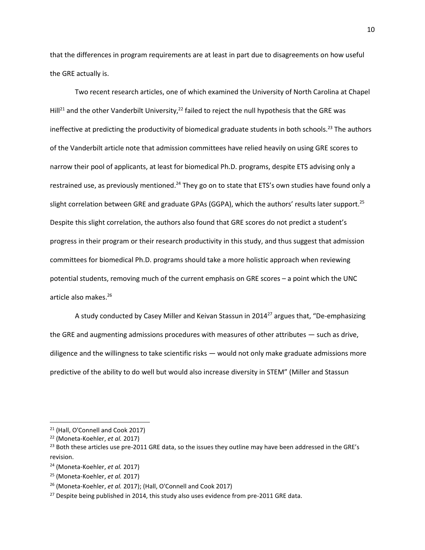that the differences in program requirements are at least in part due to disagreements on how useful the GRE actually is.

Two recent research articles, one of which examined the University of North Carolina at Chapel Hill<sup>21</sup> and the other Vanderbilt University,<sup>22</sup> failed to reject the null hypothesis that the GRE was ineffective at predicting the productivity of biomedical graduate students in both schools.<sup>23</sup> The authors of the Vanderbilt article note that admission committees have relied heavily on using GRE scores to narrow their pool of applicants, at least for biomedical Ph.D. programs, despite ETS advising only a restrained use, as previously mentioned.<sup>24</sup> They go on to state that ETS's own studies have found only a slight correlation between GRE and graduate GPAs (GGPA), which the authors' results later support.<sup>25</sup> Despite this slight correlation, the authors also found that GRE scores do not predict a student's progress in their program or their research productivity in this study, and thus suggest that admission committees for biomedical Ph.D. programs should take a more holistic approach when reviewing potential students, removing much of the current emphasis on GRE scores – a point which the UNC article also makes. 26

A study conducted by Casey Miller and Keivan Stassun in 2014<sup>27</sup> argues that, "De-emphasizing the GRE and augmenting admissions procedures with measures of other attributes — such as drive, diligence and the willingness to take scientific risks — would not only make graduate admissions more predictive of the ability to do well but would also increase diversity in STEM" (Miller and Stassun

<sup>21</sup> (Hall, O'Connell and Cook 2017)

<sup>22</sup> (Moneta-Koehler, *et al.* 2017)

<sup>&</sup>lt;sup>23</sup> Both these articles use pre-2011 GRE data, so the issues they outline may have been addressed in the GRE's revision.

<sup>24</sup> (Moneta-Koehler, *et al.* 2017)

<sup>25</sup> (Moneta-Koehler, *et al.* 2017)

<sup>26</sup> (Moneta-Koehler, *et al.* 2017); (Hall, O'Connell and Cook 2017)

<sup>&</sup>lt;sup>27</sup> Despite being published in 2014, this study also uses evidence from pre-2011 GRE data.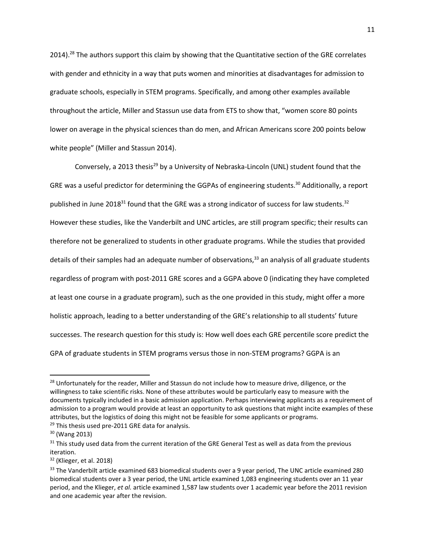2014).<sup>28</sup> The authors support this claim by showing that the Quantitative section of the GRE correlates with gender and ethnicity in a way that puts women and minorities at disadvantages for admission to graduate schools, especially in STEM programs. Specifically, and among other examples available throughout the article, Miller and Stassun use data from ETS to show that, "women score 80 points lower on average in the physical sciences than do men, and African Americans score 200 points below white people" (Miller and Stassun 2014).

Conversely, a 2013 thesis<sup>29</sup> by a University of Nebraska-Lincoln (UNL) student found that the GRE was a useful predictor for determining the GGPAs of engineering students.<sup>30</sup> Additionally, a report published in June 2018<sup>31</sup> found that the GRE was a strong indicator of success for law students.<sup>32</sup> However these studies, like the Vanderbilt and UNC articles, are still program specific; their results can therefore not be generalized to students in other graduate programs. While the studies that provided details of their samples had an adequate number of observations,<sup>33</sup> an analysis of all graduate students regardless of program with post-2011 GRE scores and a GGPA above 0 (indicating they have completed at least one course in a graduate program), such as the one provided in this study, might offer a more holistic approach, leading to a better understanding of the GRE's relationship to all students' future successes. The research question for this study is: How well does each GRE percentile score predict the GPA of graduate students in STEM programs versus those in non-STEM programs? GGPA is an

<sup>&</sup>lt;sup>28</sup> Unfortunately for the reader, Miller and Stassun do not include how to measure drive, diligence, or the willingness to take scientific risks. None of these attributes would be particularly easy to measure with the documents typically included in a basic admission application. Perhaps interviewing applicants as a requirement of admission to a program would provide at least an opportunity to ask questions that might incite examples of these attributes, but the logistics of doing this might not be feasible for some applicants or programs.

<sup>&</sup>lt;sup>29</sup> This thesis used pre-2011 GRE data for analysis.

<sup>30</sup> (Wang 2013)

 $31$  This study used data from the current iteration of the GRE General Test as well as data from the previous iteration.

<sup>32</sup> (Klieger, et al. 2018)

<sup>&</sup>lt;sup>33</sup> The Vanderbilt article examined 683 biomedical students over a 9 year period, The UNC article examined 280 biomedical students over a 3 year period, the UNL article examined 1,083 engineering students over an 11 year period, and the Klieger, *et al.* article examined 1,587 law students over 1 academic year before the 2011 revision and one academic year after the revision.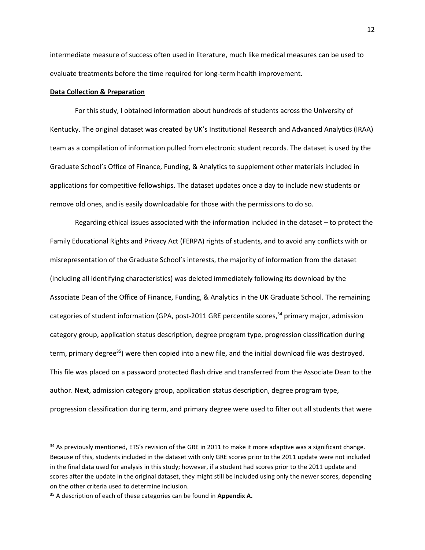intermediate measure of success often used in literature, much like medical measures can be used to evaluate treatments before the time required for long-term health improvement.

#### **Data Collection & Preparation**

For this study, I obtained information about hundreds of students across the University of Kentucky. The original dataset was created by UK's Institutional Research and Advanced Analytics (IRAA) team as a compilation of information pulled from electronic student records. The dataset is used by the Graduate School's Office of Finance, Funding, & Analytics to supplement other materials included in applications for competitive fellowships. The dataset updates once a day to include new students or remove old ones, and is easily downloadable for those with the permissions to do so.

Regarding ethical issues associated with the information included in the dataset – to protect the Family Educational Rights and Privacy Act (FERPA) rights of students, and to avoid any conflicts with or misrepresentation of the Graduate School's interests, the majority of information from the dataset (including all identifying characteristics) was deleted immediately following its download by the Associate Dean of the Office of Finance, Funding, & Analytics in the UK Graduate School. The remaining categories of student information (GPA, post-2011 GRE percentile scores,<sup>34</sup> primary major, admission category group, application status description, degree program type, progression classification during term, primary degree<sup>35</sup>) were then copied into a new file, and the initial download file was destroyed. This file was placed on a password protected flash drive and transferred from the Associate Dean to the author. Next, admission category group, application status description, degree program type, progression classification during term, and primary degree were used to filter out all students that were

<sup>&</sup>lt;sup>34</sup> As previously mentioned, ETS's revision of the GRE in 2011 to make it more adaptive was a significant change. Because of this, students included in the dataset with only GRE scores prior to the 2011 update were not included in the final data used for analysis in this study; however, if a student had scores prior to the 2011 update and scores after the update in the original dataset, they might still be included using only the newer scores, depending on the other criteria used to determine inclusion.

<sup>35</sup> A description of each of these categories can be found in **Appendix A.**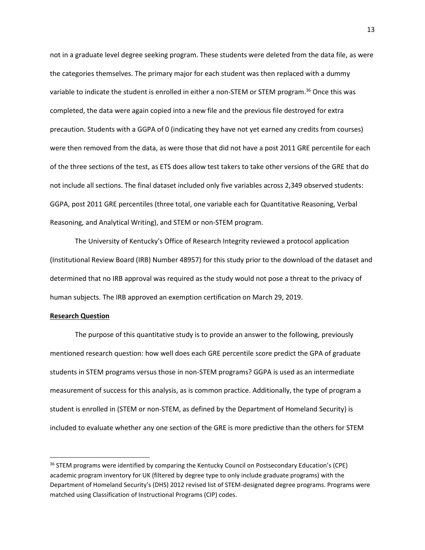not in a graduate level degree seeking program. These students were deleted from the data file, as were the categories themselves. The primary major for each student was then replaced with a dummy variable to indicate the student is enrolled in either a non-STEM or STEM program. <sup>36</sup> Once this was completed, the data were again copied into a new file and the previous file destroyed for extra precaution. Students with a GGPA of 0 (indicating they have not yet earned any credits from courses) were then removed from the data, as were those that did not have a post 2011 GRE percentile for each of the three sections of the test, as ETS does allow test takers to take other versions of the GRE that do not include all sections. The final dataset included only five variables across 2,349 observed students: GGPA, post 2011 GRE percentiles (three total, one variable each for Quantitative Reasoning, Verbal Reasoning, and Analytical Writing), and STEM or non-STEM program.

The University of Kentucky's Office of Research Integrity reviewed a protocol application (Institutional Review Board (IRB) Number 48957) for this study prior to the download of the dataset and determined that no IRB approval was required as the study would not pose a threat to the privacy of human subjects. The IRB approved an exemption certification on March 29, 2019.

#### **Research Question**

 $\overline{\phantom{a}}$ 

The purpose of this quantitative study is to provide an answer to the following, previously mentioned research question: how well does each GRE percentile score predict the GPA of graduate students in STEM programs versus those in non-STEM programs? GGPA is used as an intermediate measurement of success for this analysis, as is common practice. Additionally, the type of program a student is enrolled in (STEM or non-STEM, as defined by the Department of Homeland Security) is included to evaluate whether any one section of the GRE is more predictive than the others for STEM

<sup>&</sup>lt;sup>36</sup> STEM programs were identified by comparing the Kentucky Council on Postsecondary Education's (CPE) academic program inventory for UK (filtered by degree type to only include graduate programs) with the Department of Homeland Security's (DHS) 2012 revised list of STEM-designated degree programs. Programs were matched using Classification of Instructional Programs (CIP) codes.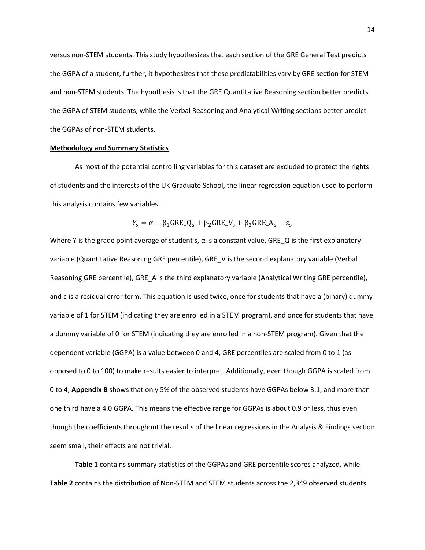versus non-STEM students. This study hypothesizes that each section of the GRE General Test predicts the GGPA of a student, further, it hypothesizes that these predictabilities vary by GRE section for STEM and non-STEM students. The hypothesis is that the GRE Quantitative Reasoning section better predicts the GGPA of STEM students, while the Verbal Reasoning and Analytical Writing sections better predict the GGPAs of non-STEM students.

## **Methodology and Summary Statistics**

As most of the potential controlling variables for this dataset are excluded to protect the rights of students and the interests of the UK Graduate School, the linear regression equation used to perform this analysis contains few variables:

$$
Y_s = \alpha + \beta_1 \text{GRE}_Q_s + \beta_2 \text{GRE}_V_s + \beta_3 \text{GRE}_A_s + \varepsilon_s
$$

Where Y is the grade point average of student s,  $\alpha$  is a constant value, GRE\_Q is the first explanatory variable (Quantitative Reasoning GRE percentile), GRE\_V is the second explanatory variable (Verbal Reasoning GRE percentile), GRE A is the third explanatory variable (Analytical Writing GRE percentile), and  $\varepsilon$  is a residual error term. This equation is used twice, once for students that have a (binary) dummy variable of 1 for STEM (indicating they are enrolled in a STEM program), and once for students that have a dummy variable of 0 for STEM (indicating they are enrolled in a non-STEM program). Given that the dependent variable (GGPA) is a value between 0 and 4, GRE percentiles are scaled from 0 to 1 (as opposed to 0 to 100) to make results easier to interpret. Additionally, even though GGPA is scaled from 0 to 4, **Appendix B** shows that only 5% of the observed students have GGPAs below 3.1, and more than one third have a 4.0 GGPA. This means the effective range for GGPAs is about 0.9 or less, thus even though the coefficients throughout the results of the linear regressions in the Analysis & Findings section seem small, their effects are not trivial.

**Table 1** contains summary statistics of the GGPAs and GRE percentile scores analyzed, while **Table 2** contains the distribution of Non-STEM and STEM students across the 2,349 observed students.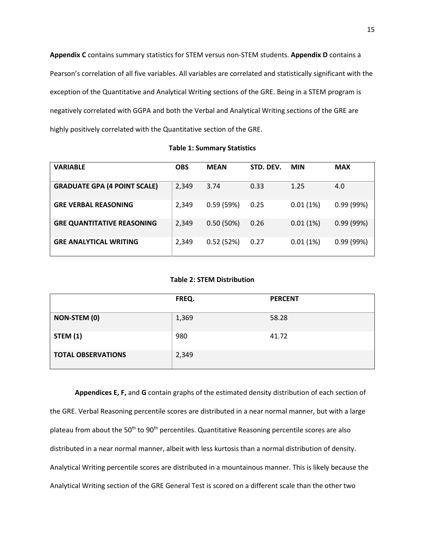**Appendix C** contains summary statistics for STEM versus non-STEM students. **Appendix D** contains a Pearson's correlation of all five variables. All variables are correlated and statistically significant with the exception of the Quantitative and Analytical Writing sections of the GRE. Being in a STEM program is negatively correlated with GGPA and both the Verbal and Analytical Writing sections of the GRE are highly positively correlated with the Quantitative section of the GRE.

| <b>VARIABLE</b>                     | <b>OBS</b> | <b>MEAN</b> | STD. DEV. | <b>MIN</b> | <b>MAX</b> |
|-------------------------------------|------------|-------------|-----------|------------|------------|
| <b>GRADUATE GPA (4 POINT SCALE)</b> | 2,349      | 3.74        | 0.33      | 1.25       | 4.0        |
| <b>GRE VERBAL REASONING</b>         | 2,349      | 0.59(59%)   | 0.25      | 0.01(1%)   | 0.99(99%)  |
| <b>GRE QUANTITATIVE REASONING</b>   | 2,349      | 0.50(50%)   | 0.26      | 0.01(1%)   | 0.99(99%)  |
| <b>GRE ANALYTICAL WRITING</b>       | 2,349      | 0.52(52%)   | 0.27      | 0.01(1%)   | 0.99(99%)  |

**Table 1: Summary Statistics**

## **Table 2: STEM Distribution**

|                           | FREQ. | <b>PERCENT</b> |
|---------------------------|-------|----------------|
| <b>NON-STEM (0)</b>       | 1,369 | 58.28          |
| <b>STEM (1)</b>           | 980   | 41.72          |
| <b>TOTAL OBSERVATIONS</b> | 2,349 |                |

**Appendices E, F,** and **G** contain graphs of the estimated density distribution of each section of the GRE. Verbal Reasoning percentile scores are distributed in a near normal manner, but with a large plateau from about the 50<sup>th</sup> to 90<sup>th</sup> percentiles. Quantitative Reasoning percentile scores are also distributed in a near normal manner, albeit with less kurtosis than a normal distribution of density. Analytical Writing percentile scores are distributed in a mountainous manner. This is likely because the Analytical Writing section of the GRE General Test is scored on a different scale than the other two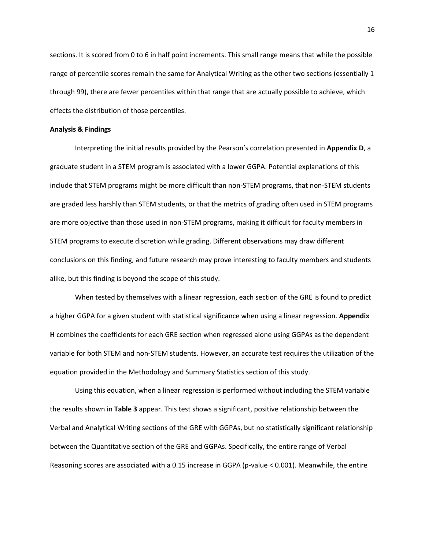sections. It is scored from 0 to 6 in half point increments. This small range means that while the possible range of percentile scores remain the same for Analytical Writing as the other two sections (essentially 1 through 99), there are fewer percentiles within that range that are actually possible to achieve, which effects the distribution of those percentiles.

## **Analysis & Findings**

Interpreting the initial results provided by the Pearson's correlation presented in **Appendix D**, a graduate student in a STEM program is associated with a lower GGPA. Potential explanations of this include that STEM programs might be more difficult than non-STEM programs, that non-STEM students are graded less harshly than STEM students, or that the metrics of grading often used in STEM programs are more objective than those used in non-STEM programs, making it difficult for faculty members in STEM programs to execute discretion while grading. Different observations may draw different conclusions on this finding, and future research may prove interesting to faculty members and students alike, but this finding is beyond the scope of this study.

When tested by themselves with a linear regression, each section of the GRE is found to predict a higher GGPA for a given student with statistical significance when using a linear regression. **Appendix H** combines the coefficients for each GRE section when regressed alone using GGPAs as the dependent variable for both STEM and non-STEM students. However, an accurate test requires the utilization of the equation provided in the Methodology and Summary Statistics section of this study.

Using this equation, when a linear regression is performed without including the STEM variable the results shown in **Table 3** appear. This test shows a significant, positive relationship between the Verbal and Analytical Writing sections of the GRE with GGPAs, but no statistically significant relationship between the Quantitative section of the GRE and GGPAs. Specifically, the entire range of Verbal Reasoning scores are associated with a 0.15 increase in GGPA (p-value < 0.001). Meanwhile, the entire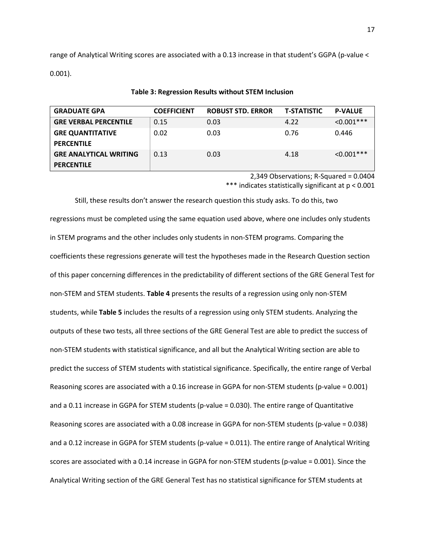range of Analytical Writing scores are associated with a 0.13 increase in that student's GGPA (p-value < 0.001).

| <b>GRADUATE GPA</b>           | <b>COEFFICIENT</b> | <b>ROBUST STD. ERROR</b> | <b>T-STATISTIC</b> | <b>P-VALUE</b> |
|-------------------------------|--------------------|--------------------------|--------------------|----------------|
| <b>GRE VERBAL PERCENTILE</b>  | 0.15               | 0.03                     | 4.22               | $< 0.001$ ***  |
| <b>GRE QUANTITATIVE</b>       | 0.02               | 0.03                     | 0.76               | 0.446          |
| <b>PERCENTILE</b>             |                    |                          |                    |                |
| <b>GRE ANALYTICAL WRITING</b> | 0.13               | 0.03                     | 4.18               | $< 0.001$ ***  |
| <b>PERCENTILE</b>             |                    |                          |                    |                |

#### **Table 3: Regression Results without STEM Inclusion**

2,349 Observations; R-Squared = 0.0404 \*\*\* indicates statistically significant at p < 0.001

Still, these results don't answer the research question this study asks. To do this, two regressions must be completed using the same equation used above, where one includes only students in STEM programs and the other includes only students in non-STEM programs. Comparing the coefficients these regressions generate will test the hypotheses made in the Research Question section of this paper concerning differences in the predictability of different sections of the GRE General Test for non-STEM and STEM students. **Table 4** presents the results of a regression using only non-STEM students, while **Table 5** includes the results of a regression using only STEM students. Analyzing the outputs of these two tests, all three sections of the GRE General Test are able to predict the success of non-STEM students with statistical significance, and all but the Analytical Writing section are able to predict the success of STEM students with statistical significance. Specifically, the entire range of Verbal Reasoning scores are associated with a 0.16 increase in GGPA for non-STEM students (p-value = 0.001) and a 0.11 increase in GGPA for STEM students (p-value = 0.030). The entire range of Quantitative Reasoning scores are associated with a 0.08 increase in GGPA for non-STEM students (p-value = 0.038) and a 0.12 increase in GGPA for STEM students (p-value = 0.011). The entire range of Analytical Writing scores are associated with a 0.14 increase in GGPA for non-STEM students (p-value = 0.001). Since the Analytical Writing section of the GRE General Test has no statistical significance for STEM students at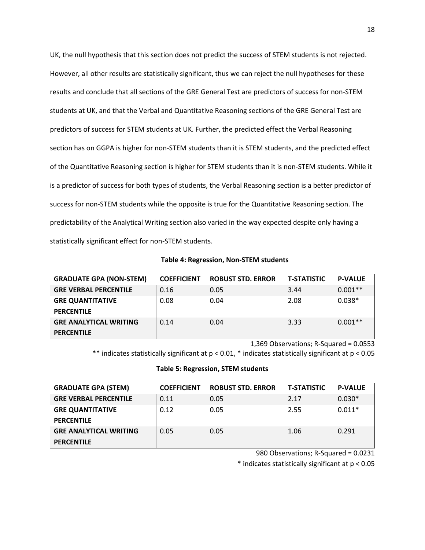UK, the null hypothesis that this section does not predict the success of STEM students is not rejected. However, all other results are statistically significant, thus we can reject the null hypotheses for these results and conclude that all sections of the GRE General Test are predictors of success for non-STEM students at UK, and that the Verbal and Quantitative Reasoning sections of the GRE General Test are predictors of success for STEM students at UK. Further, the predicted effect the Verbal Reasoning section has on GGPA is higher for non-STEM students than it is STEM students, and the predicted effect of the Quantitative Reasoning section is higher for STEM students than it is non-STEM students. While it is a predictor of success for both types of students, the Verbal Reasoning section is a better predictor of success for non-STEM students while the opposite is true for the Quantitative Reasoning section. The predictability of the Analytical Writing section also varied in the way expected despite only having a statistically significant effect for non-STEM students.

## **Table 4: Regression, Non-STEM students**

| <b>GRADUATE GPA (NON-STEM)</b> | <b>COEFFICIENT</b> | <b>ROBUST STD. ERROR</b> | <b>T-STATISTIC</b> | <b>P-VALUE</b> |
|--------------------------------|--------------------|--------------------------|--------------------|----------------|
| <b>GRE VERBAL PERCENTILE</b>   | 0.16               | 0.05                     | 3.44               | $0.001**$      |
| <b>GRE QUANTITATIVE</b>        | 0.08               | 0.04                     | 2.08               | $0.038*$       |
| <b>PERCENTILE</b>              |                    |                          |                    |                |
| <b>GRE ANALYTICAL WRITING</b>  | 0.14               | 0.04                     | 3.33               | $0.001**$      |
| <b>PERCENTILE</b>              |                    |                          |                    |                |

1,369 Observations; R-Squared = 0.0553

\*\* indicates statistically significant at p < 0.01, \* indicates statistically significant at p < 0.05

#### **Table 5: Regression, STEM students**

| <b>GRADUATE GPA (STEM)</b>    | <b>COEFFICIENT</b> | <b>ROBUST STD. ERROR</b> | <b>T-STATISTIC</b> | <b>P-VALUE</b> |
|-------------------------------|--------------------|--------------------------|--------------------|----------------|
| <b>GRE VERBAL PERCENTILE</b>  | 0.11               | 0.05                     | 2.17               | $0.030*$       |
| <b>GRE QUANTITATIVE</b>       | 0.12               | 0.05                     | 2.55               | $0.011*$       |
| <b>PERCENTILE</b>             |                    |                          |                    |                |
| <b>GRE ANALYTICAL WRITING</b> | 0.05               | 0.05                     | 1.06               | 0.291          |
| <b>PERCENTILE</b>             |                    |                          |                    |                |

980 Observations; R-Squared = 0.0231

\* indicates statistically significant at p < 0.05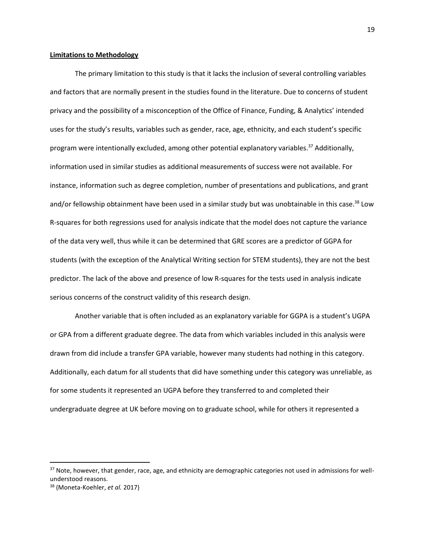#### **Limitations to Methodology**

The primary limitation to this study is that it lacks the inclusion of several controlling variables and factors that are normally present in the studies found in the literature. Due to concerns of student privacy and the possibility of a misconception of the Office of Finance, Funding, & Analytics' intended uses for the study's results, variables such as gender, race, age, ethnicity, and each student's specific program were intentionally excluded, among other potential explanatory variables.<sup>37</sup> Additionally, information used in similar studies as additional measurements of success were not available. For instance, information such as degree completion, number of presentations and publications, and grant and/or fellowship obtainment have been used in a similar study but was unobtainable in this case.<sup>38</sup> Low R-squares for both regressions used for analysis indicate that the model does not capture the variance of the data very well, thus while it can be determined that GRE scores are a predictor of GGPA for students (with the exception of the Analytical Writing section for STEM students), they are not the best predictor. The lack of the above and presence of low R-squares for the tests used in analysis indicate serious concerns of the construct validity of this research design.

Another variable that is often included as an explanatory variable for GGPA is a student's UGPA or GPA from a different graduate degree. The data from which variables included in this analysis were drawn from did include a transfer GPA variable, however many students had nothing in this category. Additionally, each datum for all students that did have something under this category was unreliable, as for some students it represented an UGPA before they transferred to and completed their undergraduate degree at UK before moving on to graduate school, while for others it represented a

l

 $37$  Note, however, that gender, race, age, and ethnicity are demographic categories not used in admissions for wellunderstood reasons.

<sup>38</sup> (Moneta-Koehler, *et al.* 2017)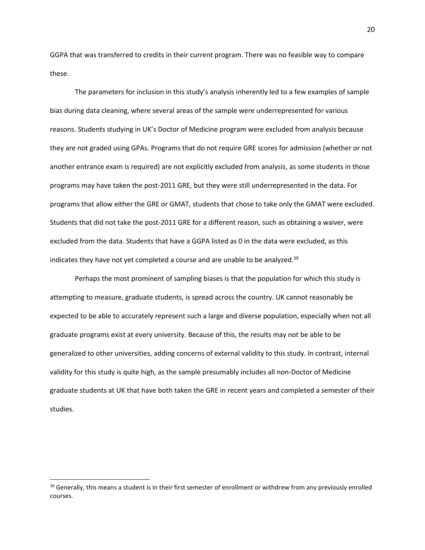GGPA that was transferred to credits in their current program. There was no feasible way to compare these.

The parameters for inclusion in this study's analysis inherently led to a few examples of sample bias during data cleaning, where several areas of the sample were underrepresented for various reasons. Students studying in UK's Doctor of Medicine program were excluded from analysis because they are not graded using GPAs. Programs that do not require GRE scores for admission (whether or not another entrance exam is required) are not explicitly excluded from analysis, as some students in those programs may have taken the post-2011 GRE, but they were still underrepresented in the data. For programs that allow either the GRE or GMAT, students that chose to take only the GMAT were excluded. Students that did not take the post-2011 GRE for a different reason, such as obtaining a waiver, were excluded from the data. Students that have a GGPA listed as 0 in the data were excluded, as this indicates they have not yet completed a course and are unable to be analyzed.<sup>39</sup>

Perhaps the most prominent of sampling biases is that the population for which this study is attempting to measure, graduate students, is spread across the country. UK cannot reasonably be expected to be able to accurately represent such a large and diverse population, especially when not all graduate programs exist at every university. Because of this, the results may not be able to be generalized to other universities, adding concerns of external validity to this study. In contrast, internal validity for this study is quite high, as the sample presumably includes all non-Doctor of Medicine graduate students at UK that have both taken the GRE in recent years and completed a semester of their studies.

<sup>&</sup>lt;sup>39</sup> Generally, this means a student is in their first semester of enrollment or withdrew from any previously enrolled courses.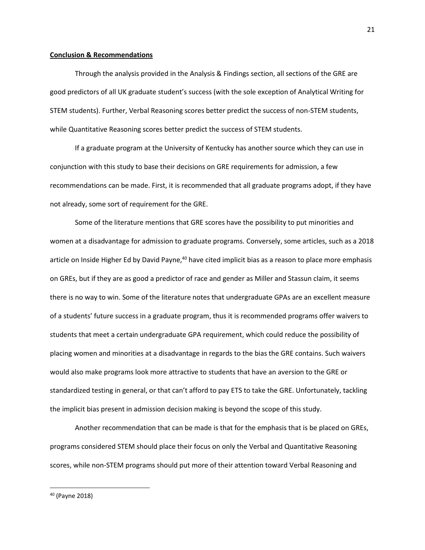#### **Conclusion & Recommendations**

Through the analysis provided in the Analysis & Findings section, all sections of the GRE are good predictors of all UK graduate student's success (with the sole exception of Analytical Writing for STEM students). Further, Verbal Reasoning scores better predict the success of non-STEM students, while Quantitative Reasoning scores better predict the success of STEM students.

If a graduate program at the University of Kentucky has another source which they can use in conjunction with this study to base their decisions on GRE requirements for admission, a few recommendations can be made. First, it is recommended that all graduate programs adopt, if they have not already, some sort of requirement for the GRE.

Some of the literature mentions that GRE scores have the possibility to put minorities and women at a disadvantage for admission to graduate programs. Conversely, some articles, such as a 2018 article on Inside Higher Ed by David Payne,<sup>40</sup> have cited implicit bias as a reason to place more emphasis on GREs, but if they are as good a predictor of race and gender as Miller and Stassun claim, it seems there is no way to win. Some of the literature notes that undergraduate GPAs are an excellent measure of a students' future success in a graduate program, thus it is recommended programs offer waivers to students that meet a certain undergraduate GPA requirement, which could reduce the possibility of placing women and minorities at a disadvantage in regards to the bias the GRE contains. Such waivers would also make programs look more attractive to students that have an aversion to the GRE or standardized testing in general, or that can't afford to pay ETS to take the GRE. Unfortunately, tackling the implicit bias present in admission decision making is beyond the scope of this study.

Another recommendation that can be made is that for the emphasis that is be placed on GREs, programs considered STEM should place their focus on only the Verbal and Quantitative Reasoning scores, while non-STEM programs should put more of their attention toward Verbal Reasoning and

<sup>40</sup> (Payne 2018)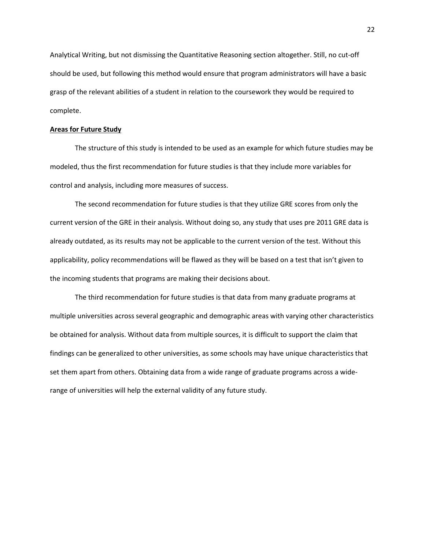Analytical Writing, but not dismissing the Quantitative Reasoning section altogether. Still, no cut-off should be used, but following this method would ensure that program administrators will have a basic grasp of the relevant abilities of a student in relation to the coursework they would be required to complete.

## **Areas for Future Study**

The structure of this study is intended to be used as an example for which future studies may be modeled, thus the first recommendation for future studies is that they include more variables for control and analysis, including more measures of success.

The second recommendation for future studies is that they utilize GRE scores from only the current version of the GRE in their analysis. Without doing so, any study that uses pre 2011 GRE data is already outdated, as its results may not be applicable to the current version of the test. Without this applicability, policy recommendations will be flawed as they will be based on a test that isn't given to the incoming students that programs are making their decisions about.

The third recommendation for future studies is that data from many graduate programs at multiple universities across several geographic and demographic areas with varying other characteristics be obtained for analysis. Without data from multiple sources, it is difficult to support the claim that findings can be generalized to other universities, as some schools may have unique characteristics that set them apart from others. Obtaining data from a wide range of graduate programs across a widerange of universities will help the external validity of any future study.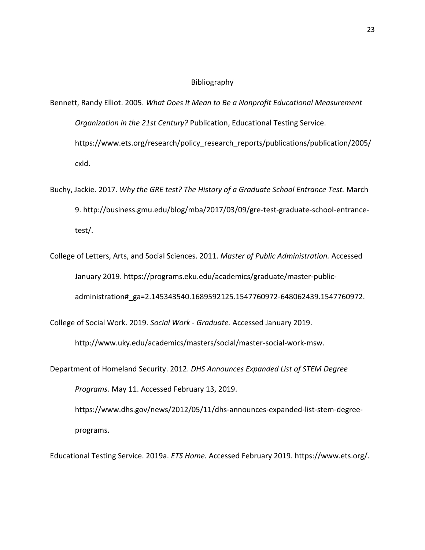# Bibliography

- Bennett, Randy Elliot. 2005. *What Does It Mean to Be a Nonprofit Educational Measurement Organization in the 21st Century?* Publication, Educational Testing Service. https://www.ets.org/research/policy research reports/publications/publication/2005/ cxld.
- Buchy, Jackie. 2017. *Why the GRE test? The History of a Graduate School Entrance Test.* March 9. http://business.gmu.edu/blog/mba/2017/03/09/gre-test-graduate-school-entrancetest/.
- College of Letters, Arts, and Social Sciences. 2011. *Master of Public Administration.* Accessed January 2019. https://programs.eku.edu/academics/graduate/master-publicadministration#\_ga=2.145343540.1689592125.1547760972-648062439.1547760972.

College of Social Work. 2019. *Social Work - Graduate.* Accessed January 2019.

http://www.uky.edu/academics/masters/social/master-social-work-msw.

Department of Homeland Security. 2012. *DHS Announces Expanded List of STEM Degree Programs.* May 11. Accessed February 13, 2019.

https://www.dhs.gov/news/2012/05/11/dhs-announces-expanded-list-stem-degreeprograms.

Educational Testing Service. 2019a. *ETS Home.* Accessed February 2019. https://www.ets.org/.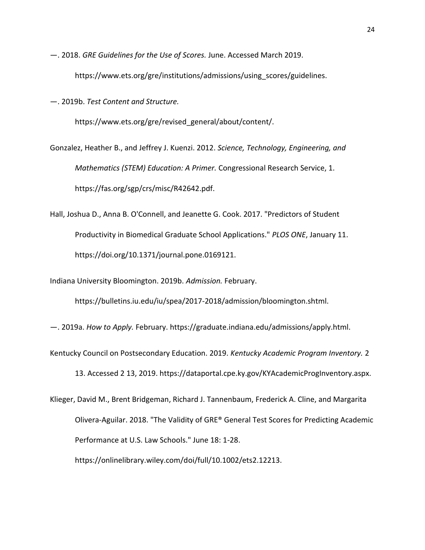—. 2018. *GRE Guidelines for the Use of Scores.* June. Accessed March 2019. https://www.ets.org/gre/institutions/admissions/using\_scores/guidelines.

—. 2019b. *Test Content and Structure.*

https://www.ets.org/gre/revised\_general/about/content/.

Gonzalez, Heather B., and Jeffrey J. Kuenzi. 2012. *Science, Technology, Engineering, and Mathematics (STEM) Education: A Primer.* Congressional Research Service, 1. https://fas.org/sgp/crs/misc/R42642.pdf.

Hall, Joshua D., Anna B. O'Connell, and Jeanette G. Cook. 2017. "Predictors of Student Productivity in Biomedical Graduate School Applications." *PLOS ONE*, January 11. https://doi.org/10.1371/journal.pone.0169121.

Indiana University Bloomington. 2019b. *Admission.* February.

https://bulletins.iu.edu/iu/spea/2017-2018/admission/bloomington.shtml.

—. 2019a. *How to Apply.* February. https://graduate.indiana.edu/admissions/apply.html.

Kentucky Council on Postsecondary Education. 2019. *Kentucky Academic Program Inventory.* 2 13. Accessed 2 13, 2019. https://dataportal.cpe.ky.gov/KYAcademicProgInventory.aspx.

Klieger, David M., Brent Bridgeman, Richard J. Tannenbaum, Frederick A. Cline, and Margarita Olivera‐Aguilar. 2018. "The Validity of GRE® General Test Scores for Predicting Academic Performance at U.S. Law Schools." June 18: 1-28. https://onlinelibrary.wiley.com/doi/full/10.1002/ets2.12213.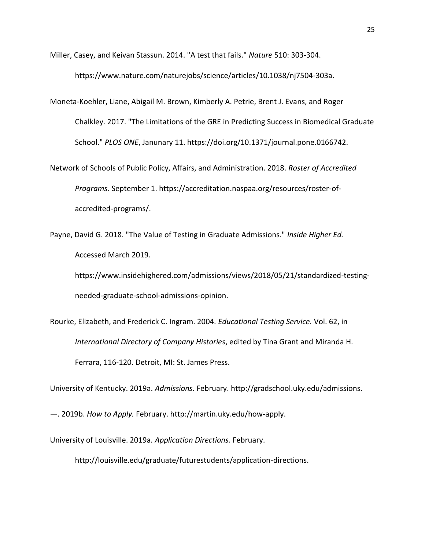Miller, Casey, and Keivan Stassun. 2014. "A test that fails." *Nature* 510: 303-304.

https://www.nature.com/naturejobs/science/articles/10.1038/nj7504-303a.

- Moneta-Koehler, Liane, Abigail M. Brown, Kimberly A. Petrie, Brent J. Evans, and Roger Chalkley. 2017. "The Limitations of the GRE in Predicting Success in Biomedical Graduate School." *PLOS ONE*, Janunary 11. https://doi.org/10.1371/journal.pone.0166742.
- Network of Schools of Public Policy, Affairs, and Administration. 2018. *Roster of Accredited Programs.* September 1. https://accreditation.naspaa.org/resources/roster-ofaccredited-programs/.

Payne, David G. 2018. "The Value of Testing in Graduate Admissions." *Inside Higher Ed.* Accessed March 2019.

https://www.insidehighered.com/admissions/views/2018/05/21/standardized-testingneeded-graduate-school-admissions-opinion.

Rourke, Elizabeth, and Frederick C. Ingram. 2004. *Educational Testing Service.* Vol. 62, in *International Directory of Company Histories*, edited by Tina Grant and Miranda H. Ferrara, 116-120. Detroit, MI: St. James Press.

University of Kentucky. 2019a. *Admissions.* February. http://gradschool.uky.edu/admissions.

—. 2019b. *How to Apply.* February. http://martin.uky.edu/how-apply.

University of Louisville. 2019a. *Application Directions.* February.

http://louisville.edu/graduate/futurestudents/application-directions.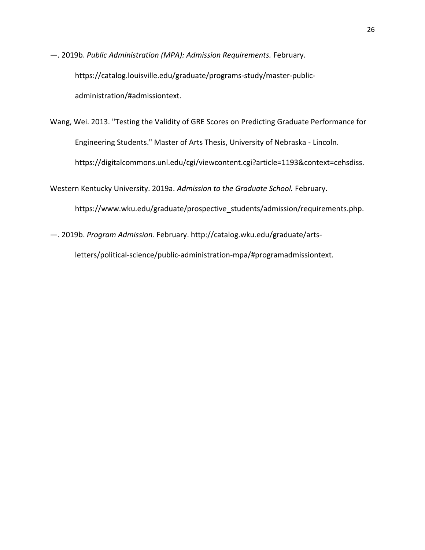—. 2019b. *Public Administration (MPA): Admission Requirements.* February. https://catalog.louisville.edu/graduate/programs-study/master-publicadministration/#admissiontext.

Wang, Wei. 2013. "Testing the Validity of GRE Scores on Predicting Graduate Performance for Engineering Students." Master of Arts Thesis, University of Nebraska - Lincoln. https://digitalcommons.unl.edu/cgi/viewcontent.cgi?article=1193&context=cehsdiss.

Western Kentucky University. 2019a. *Admission to the Graduate School.* February. https://www.wku.edu/graduate/prospective students/admission/requirements.php.

—. 2019b. *Program Admission.* February. http://catalog.wku.edu/graduate/arts-

letters/political-science/public-administration-mpa/#programadmissiontext.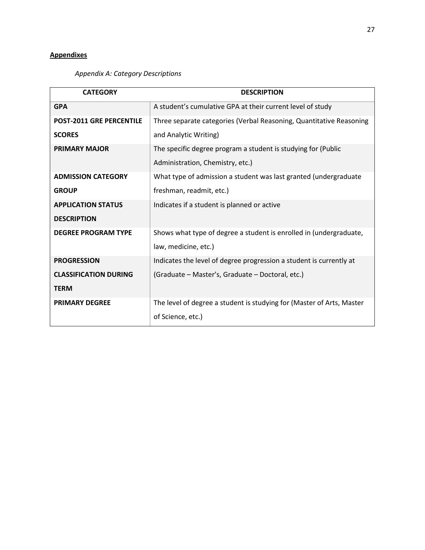# **Appendixes**

# *Appendix A: Category Descriptions*

| <b>CATEGORY</b>                 | <b>DESCRIPTION</b>                                                    |
|---------------------------------|-----------------------------------------------------------------------|
| <b>GPA</b>                      | A student's cumulative GPA at their current level of study            |
| <b>POST-2011 GRE PERCENTILE</b> | Three separate categories (Verbal Reasoning, Quantitative Reasoning   |
| <b>SCORES</b>                   | and Analytic Writing)                                                 |
| <b>PRIMARY MAJOR</b>            | The specific degree program a student is studying for (Public         |
|                                 | Administration, Chemistry, etc.)                                      |
| <b>ADMISSION CATEGORY</b>       | What type of admission a student was last granted (undergraduate      |
| <b>GROUP</b>                    | freshman, readmit, etc.)                                              |
| <b>APPLICATION STATUS</b>       | Indicates if a student is planned or active                           |
| <b>DESCRIPTION</b>              |                                                                       |
| <b>DEGREE PROGRAM TYPE</b>      | Shows what type of degree a student is enrolled in (undergraduate,    |
|                                 | law, medicine, etc.)                                                  |
| <b>PROGRESSION</b>              | Indicates the level of degree progression a student is currently at   |
| <b>CLASSIFICATION DURING</b>    | (Graduate – Master's, Graduate – Doctoral, etc.)                      |
| <b>TERM</b>                     |                                                                       |
| <b>PRIMARY DEGREE</b>           | The level of degree a student is studying for (Master of Arts, Master |
|                                 | of Science, etc.)                                                     |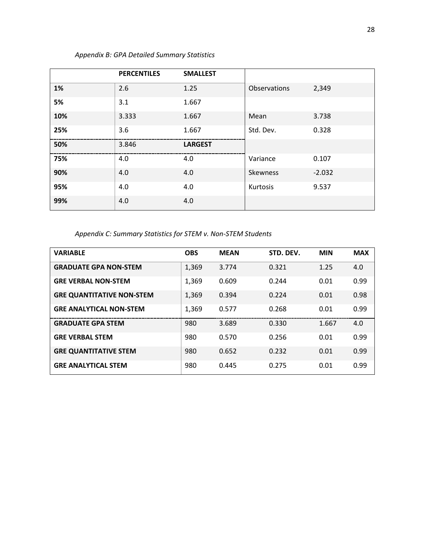|     | <b>PERCENTILES</b> | <b>SMALLEST</b> |              |          |
|-----|--------------------|-----------------|--------------|----------|
| 1%  | 2.6                | 1.25            | Observations | 2,349    |
| 5%  | 3.1                | 1.667           |              |          |
| 10% | 3.333              | 1.667           | Mean         | 3.738    |
| 25% | 3.6                | 1.667           | Std. Dev.    | 0.328    |
| 50% | 3.846              | <b>LARGEST</b>  |              |          |
| 75% | 4.0                | 4.0             | Variance     | 0.107    |
| 90% | 4.0                | 4.0             | Skewness     | $-2.032$ |
| 95% | 4.0                | 4.0             | Kurtosis     | 9.537    |
| 99% | 4.0                | 4.0             |              |          |

*Appendix B: GPA Detailed Summary Statistics*

*Appendix C: Summary Statistics for STEM v. Non-STEM Students*

| <b>VARIABLE</b>                  | <b>OBS</b> | <b>MEAN</b> | STD. DEV. | <b>MIN</b> | <b>MAX</b> |
|----------------------------------|------------|-------------|-----------|------------|------------|
| <b>GRADUATE GPA NON-STEM</b>     | 1,369      | 3.774       | 0.321     | 1.25       | 4.0        |
| <b>GRE VERBAL NON-STEM</b>       | 1,369      | 0.609       | 0.244     | 0.01       | 0.99       |
| <b>GRE QUANTITATIVE NON-STEM</b> | 1,369      | 0.394       | 0.224     | 0.01       | 0.98       |
| <b>GRE ANALYTICAL NON-STEM</b>   | 1,369      | 0.577       | 0.268     | 0.01       | 0.99       |
| <b>GRADUATE GPA STEM</b>         | 980        | 3.689       | 0.330     | 1.667      | 4.0        |
| <b>GRE VERBAL STEM</b>           | 980        | 0.570       | 0.256     | 0.01       | 0.99       |
| <b>GRE QUANTITATIVE STEM</b>     | 980        | 0.652       | 0.232     | 0.01       | 0.99       |
| <b>GRE ANALYTICAL STEM</b>       | 980        | 0.445       | 0.275     | 0.01       | 0.99       |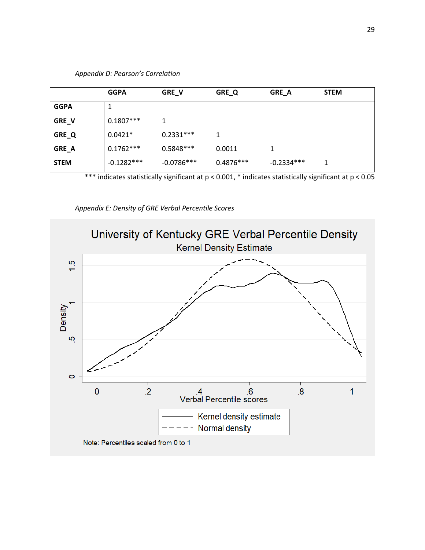|             | <b>GGPA</b>  | GRE_V        | GRE_Q       | GRE_A        | <b>STEM</b> |
|-------------|--------------|--------------|-------------|--------------|-------------|
| <b>GGPA</b> | 1            |              |             |              |             |
| GRE_V       | $0.1807***$  | 1            |             |              |             |
| GRE_Q       | $0.0421*$    | $0.2331***$  | 1           |              |             |
| GRE_A       | $0.1762***$  | $0.5848***$  | 0.0011      |              |             |
| <b>STEM</b> | $-0.1282***$ | $-0.0786***$ | $0.4876***$ | $-0.2334***$ | 1           |

*Appendix D: Pearson's Correlation*

\*\*\* indicates statistically significant at p < 0.001, \* indicates statistically significant at p < 0.05

*Appendix E: Density of GRE Verbal Percentile Scores*

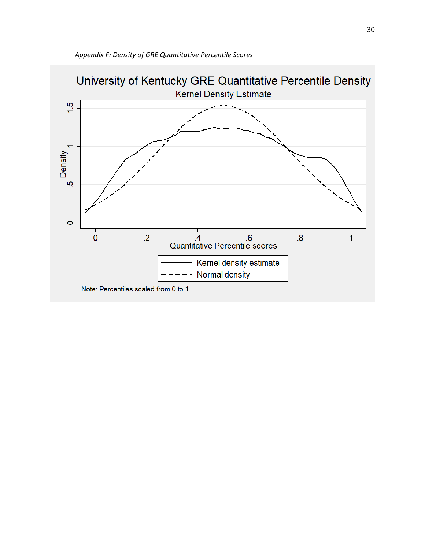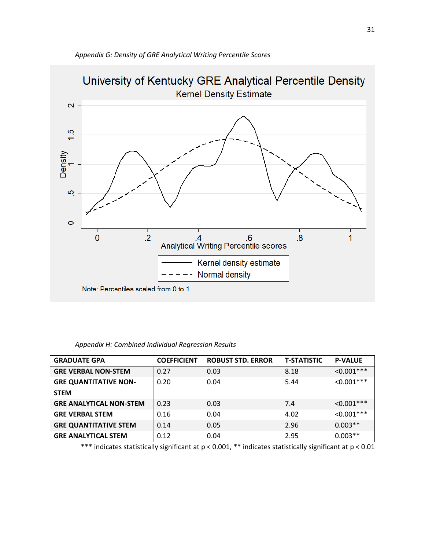

| Appendix H: Combined Individual Regression Results |  |  |  |
|----------------------------------------------------|--|--|--|
|----------------------------------------------------|--|--|--|

| <b>GRADUATE GPA</b>            | <b>COEFFICIENT</b> | <b>ROBUST STD. ERROR</b> | <b>T-STATISTIC</b> | <b>P-VALUE</b>   |
|--------------------------------|--------------------|--------------------------|--------------------|------------------|
| <b>GRE VERBAL NON-STEM</b>     | 0.27               | 0.03                     | 8.18               | $< 0.001***$     |
| <b>GRE QUANTITATIVE NON-</b>   | 0.20               | 0.04                     | 5.44               | $< 0.001$ ***    |
| <b>STEM</b>                    |                    |                          |                    |                  |
| <b>GRE ANALYTICAL NON-STEM</b> | 0.23               | 0.03                     | 7.4                | $\leq 0.001$ *** |
| <b>GRE VERBAL STEM</b>         | 0.16               | 0.04                     | 4.02               | $< 0.001***$     |
| <b>GRE QUANTITATIVE STEM</b>   | 0.14               | 0.05                     | 2.96               | $0.003**$        |
| <b>GRE ANALYTICAL STEM</b>     | 0.12               | 0.04                     | 2.95               | $0.003**$        |

\*\*\* indicates statistically significant at p < 0.001, \*\* indicates statistically significant at p < 0.01